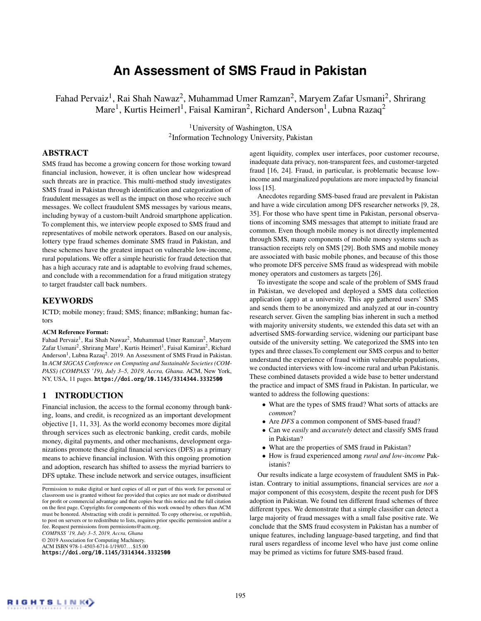# **An Assessment of SMS Fraud in Pakistan**

Fahad Pervaiz<sup>1</sup>, Rai Shah Nawaz<sup>2</sup>, Muhammad Umer Ramzan<sup>2</sup>, Maryem Zafar Usmani<sup>2</sup>, Shrirang Mare<sup>1</sup>, Kurtis Heimerl<sup>1</sup>, Faisal Kamiran<sup>2</sup>, Richard Anderson<sup>1</sup>, Lubna Razaq<sup>2</sup>

> <sup>1</sup>University of Washington, USA <sup>2</sup>Information Technology University, Pakistan

## ABSTRACT

SMS fraud has become a growing concern for those working toward financial inclusion, however, it is often unclear how widespread such threats are in practice. This multi-method study investigates SMS fraud in Pakistan through identification and categorization of fraudulent messages as well as the impact on those who receive such messages. We collect fraudulent SMS messages by various means, including byway of a custom-built Android smartphone application. To complement this, we interview people exposed to SMS fraud and representatives of mobile network operators. Based on our analysis, lottery type fraud schemes dominate SMS fraud in Pakistan, and these schemes have the greatest impact on vulnerable low-income, rural populations. We offer a simple heuristic for fraud detection that has a high accuracy rate and is adaptable to evolving fraud schemes, and conclude with a recommendation for a fraud mitigation strategy to target fraudster call back numbers.

## KEYWORDS

ICTD; mobile money; fraud; SMS; finance; mBanking; human factors

#### ACM Reference Format:

Fahad Pervaiz<sup>1</sup>, Rai Shah Nawaz<sup>2</sup>, Muhammad Umer Ramzan<sup>2</sup>, Maryem Zafar Usmani<sup>2</sup>, Shrirang Mare<sup>1</sup>, Kurtis Heimerl<sup>1</sup>, Faisal Kamiran<sup>2</sup>, Richard Anderson<sup>1</sup>, Lubna Razaq<sup>2</sup>. 2019. An Assessment of SMS Fraud in Pakistan. In *ACM SIGCAS Conference on Computing and Sustainable Societies (COM-PASS) (COMPASS '19), July 3–5, 2019, Accra, Ghana.* ACM, New York, NY, USA, [11](#page-10-0) pages. <https://doi.org/10.1145/3314344.3332500>

## 1 INTRODUCTION

Financial inclusion, the access to the formal economy through banking, loans, and credit, is recognized as an important development objective [\[1,](#page-9-0) [11,](#page-10-1) [33\]](#page-10-2). As the world economy becomes more digital through services such as electronic banking, credit cards, mobile money, digital payments, and other mechanisms, development organizations promote these digital financial services (DFS) as a primary means to achieve financial inclusion. With this ongoing promotion and adoption, research has shifted to assess the myriad barriers to DFS uptake. These include network and service outages, insufficient

*COMPASS '19, July 3–5, 2019, Accra, Ghana*

© 2019 Association for Computing Machinery.

ACM ISBN 978-1-4503-6714-1/19/07. . . \$15.00 <https://doi.org/10.1145/3314344.3332500> agent liquidity, complex user interfaces, poor customer recourse, inadequate data privacy, non-transparent fees, and customer-targeted fraud [\[16,](#page-10-3) [24\]](#page-10-4). Fraud, in particular, is problematic because lowincome and marginalized populations are more impacted by financial loss [\[15\]](#page-10-5).

Anecdotes regarding SMS-based fraud are prevalent in Pakistan and have a wide circulation among DFS researcher networks [\[9,](#page-10-6) [28,](#page-10-7) [35\]](#page-10-8). For those who have spent time in Pakistan, personal observations of incoming SMS messages that attempt to initiate fraud are common. Even though mobile money is not directly implemented through SMS, many components of mobile money systems such as transaction receipts rely on SMS [\[29\]](#page-10-9). Both SMS and mobile money are associated with basic mobile phones, and because of this those who promote DFS perceive SMS fraud as widespread with mobile money operators and customers as targets [\[26\]](#page-10-10).

To investigate the scope and scale of the problem of SMS fraud in Pakistan, we developed and deployed a SMS data collection application (app) at a university. This app gathered users' SMS and sends them to be anonymized and analyzed at our in-country research server. Given the sampling bias inherent in such a method with majority university students, we extended this data set with an advertised SMS-forwarding service, widening our participant base outside of the university setting. We categorized the SMS into ten types and three classes.To complement our SMS corpus and to better understand the experience of fraud within vulnerable populations, we conducted interviews with low-income rural and urban Pakistanis. These combined datasets provided a wide base to better understand the practice and impact of SMS fraud in Pakistan. In particular, we wanted to address the following questions:

- What are the types of SMS fraud? What sorts of attacks are *common*?
- Are *DFS* a common component of SMS-based fraud?
- Can we *easily* and *accurately* detect and classify SMS fraud in Pakistan?
- What are the properties of SMS fraud in Pakistan?
- How is fraud experienced among *rural and low-income* Pakistanis?

Our results indicate a large ecosystem of fraudulent SMS in Pakistan. Contrary to initial assumptions, financial services are *not* a major component of this ecosystem, despite the recent push for DFS adoption in Pakistan. We found ten different fraud schemes of three different types. We demonstrate that a simple classifier can detect a large majority of fraud messages with a small false positive rate. We conclude that the SMS fraud ecosystem in Pakistan has a number of unique features, including language-based targeting, and find that rural users regardless of income level who have just come online may be primed as victims for future SMS-based fraud.



Permission to make digital or hard copies of all or part of this work for personal or classroom use is granted without fee provided that copies are not made or distributed for profit or commercial advantage and that copies bear this notice and the full citation on the first page. Copyrights for components of this work owned by others than ACM must be honored. Abstracting with credit is permitted. To copy otherwise, or republish, to post on servers or to redistribute to lists, requires prior specific permission and/or a fee. Request permissions from permissions@acm.org.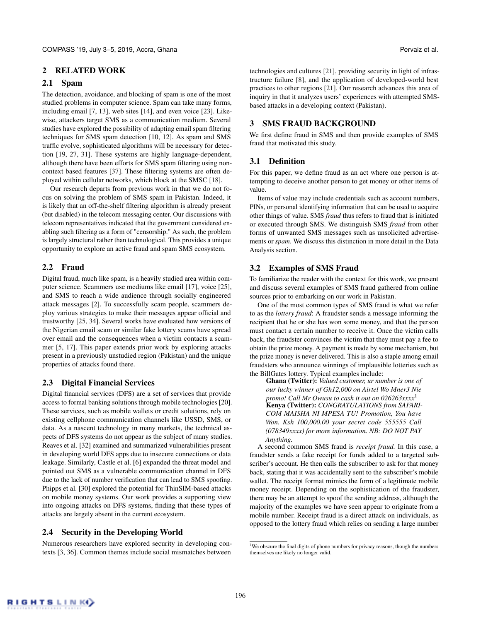## 2 RELATED WORK

## 2.1 Spam

The detection, avoidance, and blocking of spam is one of the most studied problems in computer science. Spam can take many forms, including email [\[7,](#page-10-11) [13\]](#page-10-12), web sites [\[14\]](#page-10-13), and even voice [\[23\]](#page-10-14). Likewise, attackers target SMS as a communication medium. Several studies have explored the possibility of adapting email spam filtering techniques for SMS spam detection [\[10,](#page-10-15) [12\]](#page-10-16). As spam and SMS traffic evolve, sophisticated algorithms will be necessary for detection [\[19,](#page-10-17) [27,](#page-10-18) [31\]](#page-10-19). These systems are highly language-dependent, although there have been efforts for SMS spam filtering using noncontext based features [\[37\]](#page-10-20). These filtering systems are often deployed within cellular networks, which block at the SMSC [\[18\]](#page-10-21).

Our research departs from previous work in that we do not focus on solving the problem of SMS spam in Pakistan. Indeed, it is likely that an off-the-shelf filtering algorithm is already present (but disabled) in the telecom messaging center. Our discussions with telecom representatives indicated that the government considered enabling such filtering as a form of "censorship." As such, the problem is largely structural rather than technological. This provides a unique opportunity to explore an active fraud and spam SMS ecosystem.

## 2.2 Fraud

Digital fraud, much like spam, is a heavily studied area within computer science. Scammers use mediums like email [\[17\]](#page-10-22), voice [\[25\]](#page-10-23), and SMS to reach a wide audience through socially engineered attack messages [\[2\]](#page-9-1). To successfully scam people, scammers deploy various strategies to make their messages appear official and trustworthy [\[25,](#page-10-23) [34\]](#page-10-24). Several works have evaluated how versions of the Nigerian email scam or similar fake lottery scams have spread over email and the consequences when a victim contacts a scammer [\[5,](#page-9-2) [17\]](#page-10-22). This paper extends prior work by exploring attacks present in a previously unstudied region (Pakistan) and the unique properties of attacks found there.

## 2.3 Digital Financial Services

Digital financial services (DFS) are a set of services that provide access to formal banking solutions through mobile technologies [\[20\]](#page-10-25). These services, such as mobile wallets or credit solutions, rely on existing cellphone communication channels like USSD, SMS, or data. As a nascent technology in many markets, the technical aspects of DFS systems do not appear as the subject of many studies. Reaves et al. [\[32\]](#page-10-26) examined and summarized vulnerabilities present in developing world DFS apps due to insecure connections or data leakage. Similarly, Castle et al. [\[6\]](#page-9-3) expanded the threat model and pointed out SMS as a vulnerable communication channel in DFS due to the lack of number verification that can lead to SMS spoofing. Phipps et al. [\[30\]](#page-10-27) explored the potential for ThinSIM-based attacks on mobile money systems. Our work provides a supporting view into ongoing attacks on DFS systems, finding that these types of attacks are largely absent in the current ecosystem.

## 2.4 Security in the Developing World

Numerous researchers have explored security in developing contexts [\[3,](#page-9-4) [36\]](#page-10-28). Common themes include social mismatches between

technologies and cultures [\[21\]](#page-10-29), providing security in light of infrastructure failure [\[8\]](#page-10-30), and the application of developed-world best practices to other regions [\[21\]](#page-10-29). Our research advances this area of inquiry in that it analyzes users' experiences with attempted SMSbased attacks in a developing context (Pakistan).

## 3 SMS FRAUD BACKGROUND

We first define fraud in SMS and then provide examples of SMS fraud that motivated this study.

## 3.1 Definition

For this paper, we define fraud as an act where one person is attempting to deceive another person to get money or other items of value.

Items of value may include credentials such as account numbers, PINs, or personal identifying information that can be used to acquire other things of value. SMS *fraud* thus refers to fraud that is initiated or executed through SMS. We distinguish SMS *fraud* from other forms of unwanted SMS messages such as unsolicited advertisements or *spam*. We discuss this distinction in more detail in the Data Analysis section.

## 3.2 Examples of SMS Fraud

To familiarize the reader with the context for this work, we present and discuss several examples of SMS fraud gathered from online sources prior to embarking on our work in Pakistan.

One of the most common types of SMS fraud is what we refer to as the *lottery fraud*: A fraudster sends a message informing the recipient that he or she has won some money, and that the person must contact a certain number to receive it. Once the victim calls back, the fraudster convinces the victim that they must pay a fee to obtain the prize money. A payment is made by some mechanism, but the prize money is never delivered. This is also a staple among email fraudsters who announce winnings of implausible lotteries such as the BillGates lottery. Typical examples include:

Ghana (Twitter): *Valued customer, ur number is one of our lucky winner of Gh12,000 on Airtel Wo Mner3 Nie promo! Call Mr Owusu to cash it out on 026263xxxx*[1](#page-1-0) Kenya (Twitter): *CONGRATULATIONS from SAFARI-COM MAISHA NI MPESA TU! Promotion, You have Won. Ksh 100,000.00 your secret code 555555 Call (078349xxxx) for more information. NB: DO NOT PAY Anything.*

A second common SMS fraud is *receipt fraud.* In this case, a fraudster sends a fake receipt for funds added to a targeted subscriber's account. He then calls the subscriber to ask for that money back, stating that it was accidentally sent to the subscriber's mobile wallet. The receipt format mimics the form of a legitimate mobile money receipt. Depending on the sophistication of the fraudster, there may be an attempt to spoof the sending address, although the majority of the examples we have seen appear to originate from a mobile number. Receipt fraud is a direct attack on individuals, as opposed to the lottery fraud which relies on sending a large number

<span id="page-1-0"></span><sup>&</sup>lt;sup>1</sup>We obscure the final digits of phone numbers for privacy reasons, though the numbers themselves are likely no longer valid.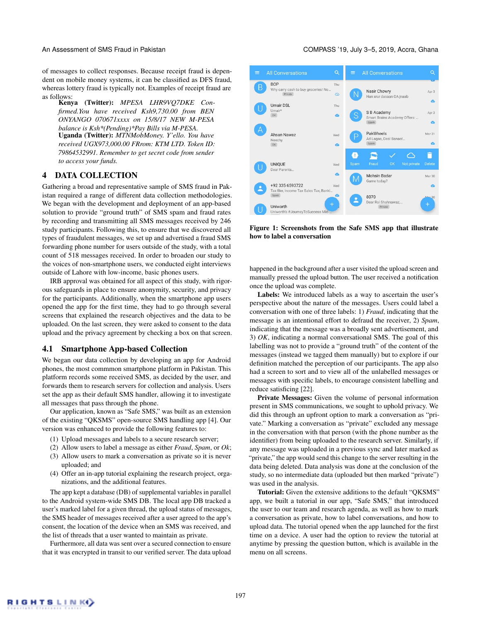of messages to collect responses. Because receipt fraud is dependent on mobile money systems, it can be classified as DFS fraud, whereas lottery fraud is typically not. Examples of receipt fraud are

as follows: Kenya (Twitter): *MPESA LHR9VQ7DKE Confirmed.You have received Ksh9,730.00 from BEN ONYANGO 070671xxxx on 15/8/17 NEW M-PESA balance is Ksh\*(Pending)\*Pay Bills via M-PESA.* Uganda (Twitter): *MTNMobMoney. Y'ello. You have received UGX973,000.00 FRrom: KTM LTD. Token ID: 79864532991. Remember to get secret code from sender to access your funds.*

## 4 DATA COLLECTION

Gathering a broad and representative sample of SMS fraud in Pakistan required a range of different data collection methodologies. We began with the development and deployment of an app-based solution to provide "ground truth" of SMS spam and fraud rates by recording and transmitting all SMS messages received by 246 study participants. Following this, to ensure that we discovered all types of fraudulent messages, we set up and advertised a fraud SMS forwarding phone number for users outside of the study, with a total count of 518 messages received. In order to broaden our study to the voices of non-smartphone users, we conducted eight interviews outside of Lahore with low-income, basic phones users.

IRB approval was obtained for all aspect of this study, with rigorous safeguards in place to ensure anonymity, security, and privacy for the participants. Additionally, when the smartphone app users opened the app for the first time, they had to go through several screens that explained the research objectives and the data to be uploaded. On the last screen, they were asked to consent to the data upload and the privacy agreement by checking a box on that screen.

## 4.1 Smartphone App-based Collection

We began our data collection by developing an app for Android phones, the most commmon smartphone platform in Pakistan. This platform records some received SMS, as decided by the user, and forwards them to research servers for collection and analysis. Users set the app as their default SMS handler, allowing it to investigate all messages that pass through the phone.

Our application, known as "Safe SMS," was built as an extension of the existing "QKSMS" open-source SMS handling app [\[4\]](#page-9-5). Our version was enhanced to provide the following features to:

- (1) Upload messages and labels to a secure research server;
- (2) Allow users to label a message as either *Fraud*, *Spam*, or *Ok*;
- (3) Allow users to mark a conversation as private so it is never uploaded; and
- (4) Offer an in-app tutorial explaining the research project, organizations, and the additional features.

The app kept a database (DB) of supplemental variables in parallel to the Android system-wide SMS DB. The local app DB tracked a user's marked label for a given thread, the upload status of messages, the SMS header of messages received after a user agreed to the app's consent, the location of the device when an SMS was received, and the list of threads that a user wanted to maintain as private.

Furthermore, all data was sent over a secured connection to ensure that it was encrypted in transit to our verified server. The data upload

### An Assessment of SMS Fraud in Pakistan COMPASS '19, July 3–5, 2019, Accra, Ghana



Figure 1: Screenshots from the Safe SMS app that illustrate how to label a conversation

happened in the background after a user visited the upload screen and manually pressed the upload button. The user received a notification once the upload was complete.

Labels: We introduced labels as a way to ascertain the user's perspective about the nature of the messages. Users could label a conversation with one of three labels: 1) *Fraud*, indicating that the message is an intentional effort to defraud the receiver, 2) *Spam*, indicating that the message was a broadly sent advertisement, and 3) *OK*, indicating a normal conversational SMS. The goal of this labelling was not to provide a "ground truth" of the content of the messages (instead we tagged them manually) but to explore if our definition matched the perception of our participants. The app also had a screen to sort and to view all of the unlabelled messages or messages with specific labels, to encourage consistent labelling and reduce satisficing [\[22\]](#page-10-31).

Private Messages: Given the volume of personal information present in SMS communications, we sought to uphold privacy. We did this through an upfront option to mark a conversation as "private." Marking a conversation as "private" excluded any message in the conversation with that person (with the phone number as the identifier) from being uploaded to the research server. Similarly, if any message was uploaded in a previous sync and later marked as "private," the app would send this change to the server resulting in the data being deleted. Data analysis was done at the conclusion of the study, so no intermediate data (uploaded but then marked "private") was used in the analysis.

Tutorial: Given the extensive additions to the default "QKSMS" app, we built a tutorial in our app, "Safe SMS," that introduced the user to our team and research agenda, as well as how to mark a conversation as private, how to label conversations, and how to upload data. The tutorial opened when the app launched for the first time on a device. A user had the option to review the tutorial at anytime by pressing the question button, which is available in the menu on all screens.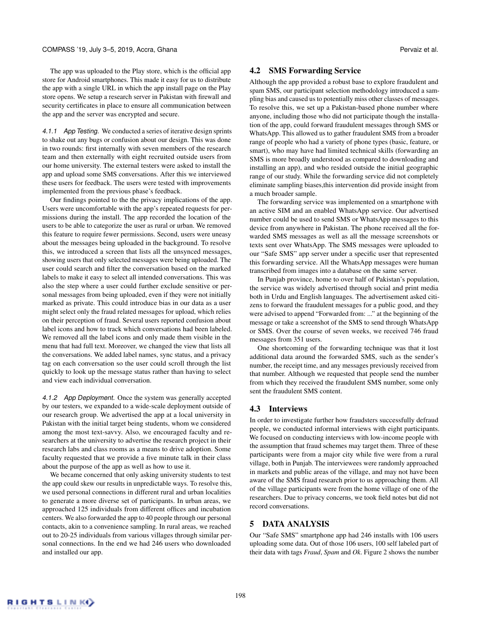#### COMPASS '19, July 3–5, 2019, Accra, Ghana Pervaiz et al.

The app was uploaded to the Play store, which is the official app store for Android smartphones. This made it easy for us to distribute the app with a single URL in which the app install page on the Play store opens. We setup a research server in Pakistan with firewall and security certificates in place to ensure all communication between the app and the server was encrypted and secure.

4.1.1 App Testing. We conducted a series of iterative design sprints to shake out any bugs or confusion about our design. This was done in two rounds: first internally with seven members of the research team and then externally with eight recruited outside users from our home university. The external testers were asked to install the app and upload some SMS conversations. After this we interviewed these users for feedback. The users were tested with improvements implemented from the previous phase's feedback.

Our findings pointed to the the privacy implications of the app. Users were uncomfortable with the app's repeated requests for permissions during the install. The app recorded the location of the users to be able to categorize the user as rural or urban. We removed this feature to require fewer permissions. Second, users were uneasy about the messages being uploaded in the background. To resolve this, we introduced a screen that lists all the unsynced messages, showing users that only selected messages were being uploaded. The user could search and filter the conversation based on the marked labels to make it easy to select all intended conversations. This was also the step where a user could further exclude sensitive or personal messages from being uploaded, even if they were not initially marked as private. This could introduce bias in our data as a user might select only the fraud related messages for upload, which relies on their perception of fraud. Several users reported confusion about label icons and how to track which conversations had been labeled. We removed all the label icons and only made them visible in the menu that had full text. Moreover, we changed the view that lists all the conversations. We added label names, sync status, and a privacy tag on each conversation so the user could scroll through the list quickly to look up the message status rather than having to select and view each individual conversation.

4.1.2 App Deployment. Once the system was generally accepted by our testers, we expanded to a wide-scale deployment outside of our research group. We advertised the app at a local university in Pakistan with the initial target being students, whom we considered among the most text-savvy. Also, we encouraged faculty and researchers at the university to advertise the research project in their research labs and class rooms as a means to drive adoption. Some faculty requested that we provide a five minute talk in their class about the purpose of the app as well as how to use it.

We became concerned that only asking university students to test the app could skew our results in unpredictable ways. To resolve this, we used personal connections in different rural and urban localities to generate a more diverse set of participants. In urban areas, we approached 125 individuals from different offices and incubation centers. We also forwarded the app to 40 people through our personal contacts, akin to a convenience sampling. In rural areas, we reached out to 20-25 individuals from various villages through similar personal connections. In the end we had 246 users who downloaded and installed our app.

## 4.2 SMS Forwarding Service

Although the app provided a robust base to explore fraudulent and spam SMS, our participant selection methodology introduced a sampling bias and caused us to potentially miss other classes of messages. To resolve this, we set up a Pakistan-based phone number where anyone, including those who did not participate though the installation of the app, could forward fraudulent messages through SMS or WhatsApp. This allowed us to gather fraudulent SMS from a broader range of people who had a variety of phone types (basic, feature, or smart), who may have had limited technical skills (forwarding an SMS is more broadly understood as compared to downloading and installing an app), and who resided outside the initial geographic range of our study. While the forwarding service did not completely eliminate sampling biases,this intervention did provide insight from a much broader sample.

The forwarding service was implemented on a smartphone with an active SIM and an enabled WhatsApp service. Our advertised number could be used to send SMS or WhatsApp messages to this device from anywhere in Pakistan. The phone received all the forwarded SMS messages as well as all the message screenshots or texts sent over WhatsApp. The SMS messages were uploaded to our "Safe SMS" app server under a specific user that represented this forwarding service. All the WhatsApp messages were human transcribed from images into a database on the same server.

In Punjab province, home to over half of Pakistan's population, the service was widely advertised through social and print media both in Urdu and English languages. The advertisement asked citizens to forward the fraudulent messages for a public good, and they were advised to append "Forwarded from: ..." at the beginning of the message or take a screenshot of the SMS to send through WhatsApp or SMS. Over the course of seven weeks, we received 746 fraud messages from 351 users.

One shortcoming of the forwarding technique was that it lost additional data around the forwarded SMS, such as the sender's number, the receipt time, and any messages previously received from that number. Although we requested that people send the number from which they received the fraudulent SMS number, some only sent the fraudulent SMS content.

## 4.3 Interviews

In order to investigate further how fraudsters successfully defraud people, we conducted informal interviews with eight participants. We focused on conducting interviews with low-income people with the assumption that fraud schemes may target them. Three of these participants were from a major city while five were from a rural village, both in Punjab. The interviewees were randomly approached in markets and public areas of the village, and may not have been aware of the SMS fraud research prior to us approaching them. All of the village participants were from the home village of one of the researchers. Due to privacy concerns, we took field notes but did not record conversations.

## 5 DATA ANALYSIS

Our "Safe SMS" smartphone app had 246 installs with 106 users uploading some data. Out of those 106 users, 100 self labeled part of their data with tags *Fraud*, *Spam* and *Ok*. Figure [2](#page-5-0) shows the number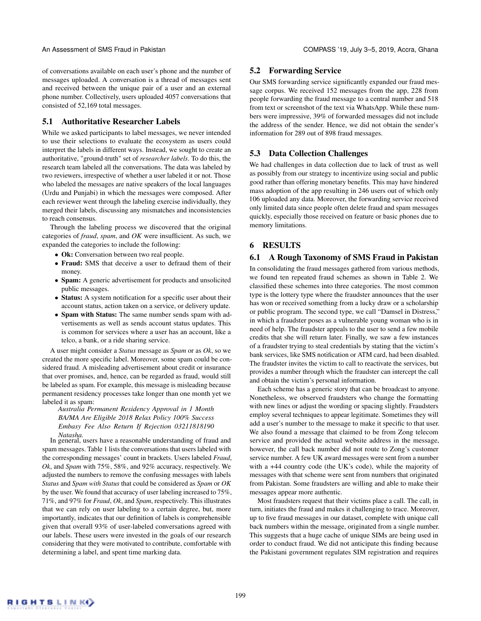of conversations available on each user's phone and the number of messages uploaded. A conversation is a thread of messages sent and received between the unique pair of a user and an external phone number. Collectively, users uploaded 4057 conversations that consisted of 52,169 total messages.

## 5.1 Authoritative Researcher Labels

While we asked participants to label messages, we never intended to use their selections to evaluate the ecosystem as users could interpret the labels in different ways. Instead, we sought to create an authoritative, "ground-truth" set of *researcher labels*. To do this, the research team labeled all the conversations. The data was labeled by two reviewers, irrespective of whether a user labeled it or not. Those who labeled the messages are native speakers of the local languages (Urdu and Punjabi) in which the messages were composed. After each reviewer went through the labeling exercise individually, they merged their labels, discussing any mismatches and inconsistencies to reach consensus.

Through the labeling process we discovered that the original categories of *fraud*, *spam*, and *OK* were insufficient. As such, we expanded the categories to include the following:

- Ok: Conversation between two real people.
- Fraud: SMS that deceive a user to defraud them of their money.
- Spam: A generic advertisement for products and unsolicited public messages.
- Status: A system notification for a specific user about their account status, action taken on a service, or delivery update.
- Spam with Status: The same number sends spam with advertisements as well as sends account status updates. This is common for services where a user has an account, like a telco, a bank, or a ride sharing service.

A user might consider a *Status* message as *Spam* or as *Ok*, so we created the more specific label. Moreover, some spam could be considered fraud. A misleading advertisement about credit or insurance that over promises, and, hence, can be regarded as fraud, would still be labeled as spam. For example, this message is misleading because permanent residency processes take longer than one month yet we labeled it as spam:

## *Australia Permanent Residency Approval in 1 Month BA/MA Are Eligible 2018 Relax Policy 100% Success Embasy Fee Also Return If Rejection 03211818190 Natasha.*

In general, users have a reasonable understanding of fraud and spam messages. Table [1](#page-5-1) lists the conversations that users labeled with the corresponding messages' count in brackets. Users labeled *Fraud*, *Ok*, and *Spam* with 75%, 58%, and 92% accuracy, respectively. We adjusted the numbers to remove the confusing messages with labels *Status* and *Spam with Status* that could be considered as *Spam* or *OK* by the user. We found that accuracy of user labeling increased to 75%, 71%, and 97% for *Fraud*, *Ok*, and *Spam*, respectively. This illustrates that we can rely on user labeling to a certain degree, but, more importantly, indicates that our definition of labels is comprehensible given that overall 93% of user-labeled conversations agreed with our labels. These users were invested in the goals of our research considering that they were motivated to contribute, comfortable with determining a label, and spent time marking data.

### 5.2 Forwarding Service

Our SMS forwarding service significantly expanded our fraud message corpus. We received 152 messages from the app, 228 from people forwarding the fraud message to a central number and 518 from text or screenshot of the text via WhatsApp. While these numbers were impressive, 39% of forwarded messages did not include the address of the sender. Hence, we did not obtain the sender's information for 289 out of 898 fraud messages.

## 5.3 Data Collection Challenges

We had challenges in data collection due to lack of trust as well as possibly from our strategy to incentivize using social and public good rather than offering monetary benefits. This may have hindered mass adoption of the app resulting in 246 users out of which only 106 uploaded any data. Moreover, the forwarding service received only limited data since people often delete fraud and spam messages quickly, especially those received on feature or basic phones due to memory limitations.

## 6 RESULTS

## 6.1 A Rough Taxonomy of SMS Fraud in Pakistan

In consolidating the fraud messages gathered from various methods, we found ten repeated fraud schemes as shown in Table [2.](#page-5-2) We classified these schemes into three categories. The most common type is the lottery type where the fraudster announces that the user has won or received something from a lucky draw or a scholarship or public program. The second type, we call "Damsel in Distress," in which a fraudster poses as a vulnerable young woman who is in need of help. The fraudster appeals to the user to send a few mobile credits that she will return later. Finally, we saw a few instances of a fraudster trying to steal credentials by stating that the victim's bank services, like SMS notification or ATM card, had been disabled. The fraudster invites the victim to call to reactivate the services, but provides a number through which the fraudster can intercept the call and obtain the victim's personal information.

Each scheme has a generic story that can be broadcast to anyone. Nonetheless, we observed fraudsters who change the formatting with new lines or adjust the wording or spacing slightly. Fraudsters employ several techniques to appear legitimate. Sometimes they will add a user's number to the message to make it specific to that user. We also found a message that claimed to be from Zong telecom service and provided the actual website address in the message, however, the call back number did not route to Zong's customer service number. A few UK award messages were sent from a number with a +44 country code (the UK's code), while the majority of messages with that scheme were sent from numbers that originated from Pakistan. Some fraudsters are willing and able to make their messages appear more authentic.

Most fraudsters request that their victims place a call. The call, in turn, initiates the fraud and makes it challenging to trace. Moreover, up to five fraud messages in our dataset, complete with unique call back numbers within the message, originated from a single number. This suggests that a huge cache of unique SIMs are being used in order to conduct fraud. We did not anticipate this finding because the Pakistani government regulates SIM registration and requires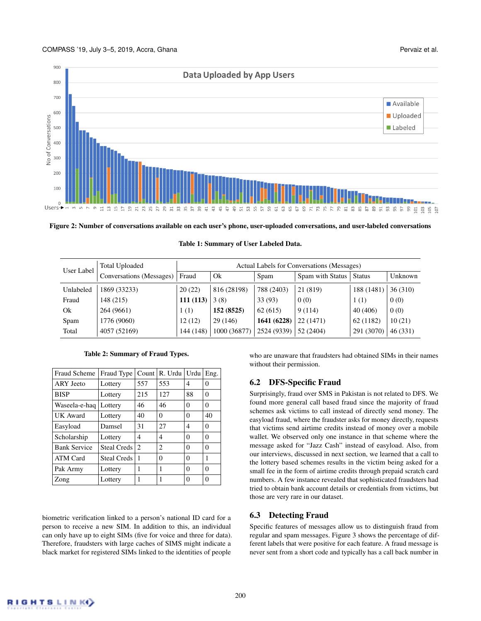## COMPASS '19, July 3–5, 2019, Accra, Ghana Pervaiz et al.

<span id="page-5-0"></span>

<span id="page-5-1"></span>Figure 2: Number of conversations available on each user's phone, user-uploaded conversations, and user-labeled conversations

| User Label | <b>Total Uploaded</b>    | Actual Labels for Conversations (Messages) |              |             |                  |               |         |
|------------|--------------------------|--------------------------------------------|--------------|-------------|------------------|---------------|---------|
|            | Conversations (Messages) | Fraud                                      | Ok           | Spam        | Spam with Status | <b>Status</b> | Unknown |
| Unlabeled  | 1869 (33233)             | 20(22)                                     | 816 (28198)  | 788 (2403)  | 21 (819)         | 188 (1481)    | 36(310) |
| Fraud      | 148 (215)                | 111(113)                                   | 3(8)         | 33(93)      | 0(0)             | 1(1)          | 0(0)    |
| Ok         | 264 (9661)               | 1(1)                                       | 152 (8525)   | 62(615)     | 9(114)           | 40 (406)      | 0(0)    |
| Spam       | 1776 (9060)              | 12(12)                                     | 29 (146)     | 1641 (6228) | 22 (1471)        | 62(1182)      | 10(21)  |
| Total      | 4057 (52169)             | 144 (148)                                  | 1000 (36877) | 2524 (9339) | 52 (2404)        | 291 (3070)    | 46(331) |

Table 1: Summary of User Labeled Data.

## Table 2: Summary of Fraud Types.

<span id="page-5-2"></span>

| <b>Fraud Scheme</b> | Fraud Type         | Count | R. Urdu  | Urdu     | Eng.     |
|---------------------|--------------------|-------|----------|----------|----------|
| <b>ARY</b> Jeeto    | Lottery            | 557   | 553      | 4        | 0        |
| <b>BISP</b>         | Lottery            | 215   | 127      | 88       | $\theta$ |
| Waseela-e-haq       | Lottery            | 46    | 46       | $\Omega$ | $\theta$ |
| UK Award            | Lottery            | 40    | $\theta$ | $\theta$ | 40       |
| Easyload            | Damsel             | 31    | 27       | 4        | $\Omega$ |
| Scholarship         | Lottery            | 4     | 4        | $\theta$ | $\theta$ |
| <b>Bank Service</b> | <b>Steal Creds</b> | 2     | 2        | $\Omega$ | $\Omega$ |
| <b>ATM Card</b>     | <b>Steal Creds</b> | 1     | $\theta$ | $\theta$ | 1        |
| Pak Army            | Lottery            | 1     | 1        | $\Omega$ | $\Omega$ |
| Zong                | Lottery            |       |          | $\theta$ | 0        |

biometric verification linked to a person's national ID card for a person to receive a new SIM. In addition to this, an individual can only have up to eight SIMs (five for voice and three for data). Therefore, fraudsters with large caches of SIMS might indicate a black market for registered SIMs linked to the identities of people

who are unaware that fraudsters had obtained SIMs in their names without their permission.

## 6.2 DFS-Specific Fraud

Surprisingly, fraud over SMS in Pakistan is not related to DFS. We found more general call based fraud since the majority of fraud schemes ask victims to call instead of directly send money. The easyload fraud, where the fraudster asks for money directly, requests that victims send airtime credits instead of money over a mobile wallet. We observed only one instance in that scheme where the message asked for "Jazz Cash" instead of easyload. Also, from our interviews, discussed in next section, we learned that a call to the lottery based schemes results in the victim being asked for a small fee in the form of airtime credits through prepaid scratch card numbers. A few instance revealed that sophisticated fraudsters had tried to obtain bank account details or credentials from victims, but those are very rare in our dataset.

## 6.3 Detecting Fraud

Specific features of messages allow us to distinguish fraud from regular and spam messages. Figure [3](#page-7-0) shows the percentage of different labels that were positive for each feature. A fraud message is never sent from a short code and typically has a call back number in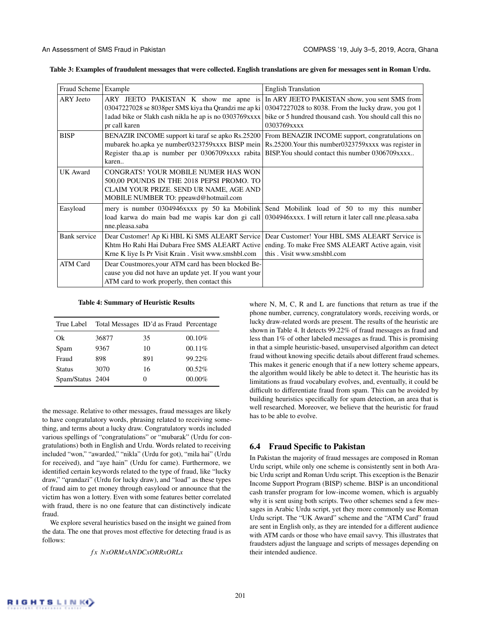|  |  | Table 3: Examples of fraudulent messages that were collected. English translations are given for messages sent in Roman Urdu. |
|--|--|-------------------------------------------------------------------------------------------------------------------------------|
|  |  |                                                                                                                               |

| Fraud Scheme    | Example                                                                                                                                                                    | <b>English Translation</b>                                                                                                                                                      |
|-----------------|----------------------------------------------------------------------------------------------------------------------------------------------------------------------------|---------------------------------------------------------------------------------------------------------------------------------------------------------------------------------|
| ARY Jeeto       | ARY JEETO PAKISTAN K show me apne is<br>03047227028 se 8038 per SMS kiya tha Qrandzi me ap ki<br>ladad bike or 5 lakh cash nikla he ap is no 0303769xxxx<br>pr call karen  | In ARY JEETO PAKISTAN show, you sent SMS from<br>03047227028 to 8038. From the lucky draw, you got 1<br>bike or 5 hundred thousand cash. You should call this no<br>0303769xxxx |
| <b>BISP</b>     | BENAZIR INCOME support ki taraf se apko Rs.25200<br>mubarek ho.apka ye number0323759xxxx BISP mein<br>Register tha.ap is number per 0306709xxxx rabita<br>karen            | From BENAZIR INCOME support, congratulations on<br>Rs.25200. Your this number 0323759xxxx was register in<br>BISP. You should contact this number 0306709xxxx                   |
| <b>UK</b> Award | <b>CONGRATS! YOUR MOBILE NUMER HAS WON</b><br>500,00 POUNDS IN THE 2018 PEPSI PROMO. TO<br>CLAIM YOUR PRIZE, SEND UR NAME, AGE AND<br>MOBILE NUMBER TO: ppeawd@hotmail.com |                                                                                                                                                                                 |
| Easyload        | load karwa do main bad me wapis kar don gi call 0304946xxxx. I will return it later call nne pleasa saba<br>nne.pleasa.saba                                                | mery is number 0304946xxxx py 50 ka Mobilink Send Mobilink load of 50 to my this number                                                                                         |
| Bank service    | Dear Customer! Ap Ki HBL Ki SMS ALEART Service<br>Khtm Ho Rahi Hai Dubara Free SMS ALEART Active<br>Krne K liye Is Pr Visit Krain. Visit www.smshbl.com                    | Dear Customer! Your HBL SMS ALEART Service is<br>ending. To make Free SMS ALEART Active again, visit<br>this . Visit www.smshbl.com                                             |
| <b>ATM Card</b> | Dear Coustmores, your ATM card has been blocked Be-<br>cause you did not have an update yet. If you want your<br>ATM card to work properly, then contact this              |                                                                                                                                                                                 |

#### Table 4: Summary of Heuristic Results

<span id="page-6-0"></span>

| True Label       | Total Messages ID'd as Fraud Percentage |     |        |
|------------------|-----------------------------------------|-----|--------|
| Ok               | 36877                                   | 35  | 00.10% |
| Spam             | 9367                                    | 10  | 00.11% |
| Fraud            | 898                                     | 891 | 99.22% |
| <b>Status</b>    | 3070                                    | 16  | 00.52% |
| Spam/Status 2404 |                                         |     | 00.00% |

the message. Relative to other messages, fraud messages are likely to have congratulatory words, phrasing related to receiving something, and terms about a lucky draw. Congratulatory words included various spellings of "congratulations" or "mubarak" (Urdu for congratulations) both in English and Urdu. Words related to receiving included "won," "awarded," "nikla" (Urdu for got), "mila hai" (Urdu for received), and "aye hain" (Urdu for came). Furthermore, we identified certain keywords related to the type of fraud, like "lucky draw," "qrandazi" (Urdu for lucky draw), and "load" as these types of fraud aim to get money through easyload or announce that the victim has won a lottery. Even with some features better correlated with fraud, there is no one feature that can distinctively indicate fraud.

We explore several heuristics based on the insight we gained from the data. The one that proves most effective for detecting fraud is as follows:

*f x NxORMxANDCxORRxORLx*

where N, M, C, R and L are functions that return as true if the phone number, currency, congratulatory words, receiving words, or lucky draw-related words are present. The results of the heuristic are shown in Table [4.](#page-6-0) It detects 99.22% of fraud messages as fraud and less than 1% of other labeled messages as fraud. This is promising in that a simple heuristic-based, unsupervised algorithm can detect fraud without knowing specific details about different fraud schemes. This makes it generic enough that if a new lottery scheme appears, the algorithm would likely be able to detect it. The heuristic has its limitations as fraud vocabulary evolves, and, eventually, it could be difficult to differentiate fraud from spam. This can be avoided by building heuristics specifically for spam detection, an area that is well researched. Moreover, we believe that the heuristic for fraud has to be able to evolve.

## 6.4 Fraud Specific to Pakistan

In Pakistan the majority of fraud messages are composed in Roman Urdu script, while only one scheme is consistently sent in both Arabic Urdu script and Roman Urdu script. This exception is the Benazir Income Support Program (BISP) scheme. BISP is an unconditional cash transfer program for low-income women, which is arguably why it is sent using both scripts. Two other schemes send a few messages in Arabic Urdu script, yet they more commonly use Roman Urdu script. The "UK Award" scheme and the "ATM Card" fraud are sent in English only, as they are intended for a different audience with ATM cards or those who have email savvy. This illustrates that fraudsters adjust the language and scripts of messages depending on their intended audience.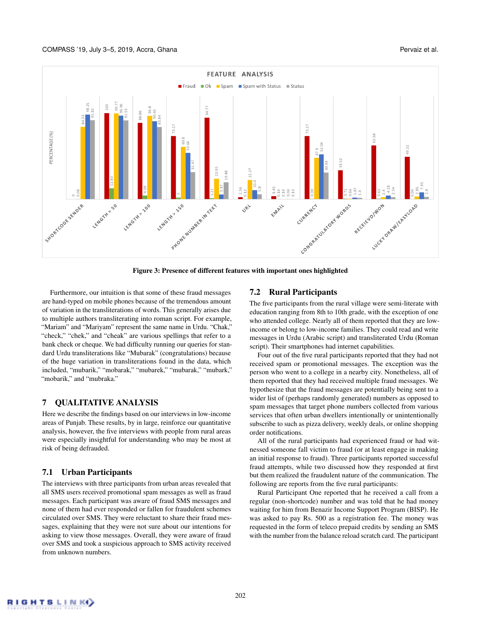<span id="page-7-0"></span>

Figure 3: Presence of different features with important ones highlighted

Furthermore, our intuition is that some of these fraud messages are hand-typed on mobile phones because of the tremendous amount of variation in the transliterations of words. This generally arises due to multiple authors transliterating into roman script. For example, "Mariam" and "Mariyam" represent the same name in Urdu. "Chak," "check," "chek," and "cheak" are various spellings that refer to a bank check or cheque. We had difficulty running our queries for standard Urdu transliterations like "Mubarak" (congratulations) because of the huge variation in transliterations found in the data, which included, "mubarik," "mobarak," "mubarek," "mubarak," "mubark," "mobarik," and "mubraka."

## 7 QUALITATIVE ANALYSIS

Here we describe the findings based on our interviews in low-income areas of Punjab. These results, by in large, reinforce our quantitative analysis, however, the five interviews with people from rural areas were especially insightful for understanding who may be most at risk of being defrauded.

## 7.1 Urban Participants

The interviews with three participants from urban areas revealed that all SMS users received promotional spam messages as well as fraud messages. Each participant was aware of fraud SMS messages and none of them had ever responded or fallen for fraudulent schemes circulated over SMS. They were reluctant to share their fraud messages, explaining that they were not sure about our intentions for asking to view those messages. Overall, they were aware of fraud over SMS and took a suspicious approach to SMS activity received from unknown numbers.

## 7.2 Rural Participants

The five participants from the rural village were semi-literate with education ranging from 8th to 10th grade, with the exception of one who attended college. Nearly all of them reported that they are lowincome or belong to low-income families. They could read and write messages in Urdu (Arabic script) and transliterated Urdu (Roman script). Their smartphones had internet capabilities.

Four out of the five rural participants reported that they had not received spam or promotional messages. The exception was the person who went to a college in a nearby city. Nonetheless, all of them reported that they had received multiple fraud messages. We hypothesize that the fraud messages are potentially being sent to a wider list of (perhaps randomly generated) numbers as opposed to spam messages that target phone numbers collected from various services that often urban dwellers intentionally or unintentionally subscribe to such as pizza delivery, weekly deals, or online shopping order notifications.

All of the rural participants had experienced fraud or had witnessed someone fall victim to fraud (or at least engage in making an initial response to fraud). Three participants reported successful fraud attempts, while two discussed how they responded at first but them realized the fraudulent nature of the communication. The following are reports from the five rural participants:

Rural Participant One reported that he received a call from a regular (non-shortcode) number and was told that he had money waiting for him from Benazir Income Support Program (BISP). He was asked to pay Rs. 500 as a registration fee. The money was requested in the form of teleco prepaid credits by sending an SMS with the number from the balance reload scratch card. The participant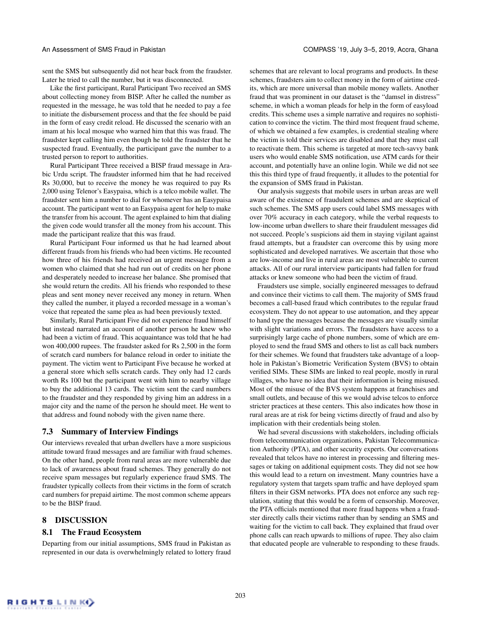sent the SMS but subsequently did not hear back from the fraudster. Later he tried to call the number, but it was disconnected.

Like the first participant, Rural Participant Two received an SMS about collecting money from BISP. After he called the number as requested in the message, he was told that he needed to pay a fee to initiate the disbursement process and that the fee should be paid in the form of easy credit reload. He discussed the scenario with an imam at his local mosque who warned him that this was fraud. The fraudster kept calling him even though he told the fraudster that he suspected fraud. Eventually, the participant gave the number to a trusted person to report to authorities.

Rural Participant Three received a BISP fraud message in Arabic Urdu script. The fraudster informed him that he had received Rs 30,000, but to receive the money he was required to pay Rs 2,000 using Telenor's Easypaisa, which is a telco mobile wallet. The fraudster sent him a number to dial for whomever has an Easypaisa account. The participant went to an Easypaisa agent for help to make the transfer from his account. The agent explained to him that dialing the given code would transfer all the money from his account. This made the participant realize that this was fraud.

Rural Participant Four informed us that he had learned about different frauds from his friends who had been victims. He recounted how three of his friends had received an urgent message from a women who claimed that she had run out of credits on her phone and desperately needed to increase her balance. She promised that she would return the credits. All his friends who responded to these pleas and sent money never received any money in return. When they called the number, it played a recorded message in a woman's voice that repeated the same plea as had been previously texted.

Similarly, Rural Participant Five did not experience fraud himself but instead narrated an account of another person he knew who had been a victim of fraud. This acquaintance was told that he had won 400,000 rupees. The fraudster asked for Rs 2,500 in the form of scratch card numbers for balance reload in order to initiate the payment. The victim went to Participant Five because he worked at a general store which sells scratch cards. They only had 12 cards worth Rs 100 but the participant went with him to nearby village to buy the additional 13 cards. The victim sent the card numbers to the fraudster and they responded by giving him an address in a major city and the name of the person he should meet. He went to that address and found nobody with the given name there.

## 7.3 Summary of Interview Findings

Our interviews revealed that urban dwellers have a more suspicious attitude toward fraud messages and are familiar with fraud schemes. On the other hand, people from rural areas are more vulnerable due to lack of awareness about fraud schemes. They generally do not receive spam messages but regularly experience fraud SMS. The fraudster typically collects from their victims in the form of scratch card numbers for prepaid airtime. The most common scheme appears to be the BISP fraud.

## 8 DISCUSSION

## 8.1 The Fraud Ecosystem

Departing from our initial assumptions, SMS fraud in Pakistan as represented in our data is overwhelmingly related to lottery fraud schemes that are relevant to local programs and products. In these schemes, fraudsters aim to collect money in the form of airtime credits, which are more universal than mobile money wallets. Another fraud that was prominent in our dataset is the "damsel in distress" scheme, in which a woman pleads for help in the form of easyload credits. This scheme uses a simple narrative and requires no sophistication to convince the victim. The third most frequent fraud scheme, of which we obtained a few examples, is credential stealing where the victim is told their services are disabled and that they must call to reactivate them. This scheme is targeted at more tech-savvy bank users who would enable SMS notification, use ATM cards for their account, and potentially have an online login. While we did not see this this third type of fraud frequently, it alludes to the potential for the expansion of SMS fraud in Pakistan.

Our analysis suggests that mobile users in urban areas are well aware of the existence of fraudulent schemes and are skeptical of such schemes. The SMS app users could label SMS messages with over 70% accuracy in each category, while the verbal requests to low-income urban dwellers to share their fraudulent messages did not succeed. People's suspicions aid them in staying vigilant against fraud attempts, but a fraudster can overcome this by using more sophisticated and developed narratives. We ascertain that those who are low-income and live in rural areas are most vulnerable to current attacks. All of our rural interview participants had fallen for fraud attacks or knew someone who had been the victim of fraud.

Fraudsters use simple, socially engineered messages to defraud and convince their victims to call them. The majority of SMS fraud becomes a call-based fraud which contributes to the regular fraud ecosystem. They do not appear to use automation, and they appear to hand type the messages because the messages are visually similar with slight variations and errors. The fraudsters have access to a surprisingly large cache of phone numbers, some of which are employed to send the fraud SMS and others to list as call back numbers for their schemes. We found that fraudsters take advantage of a loophole in Pakistan's Biometric Verification System (BVS) to obtain verified SIMs. These SIMs are linked to real people, mostly in rural villages, who have no idea that their information is being misused. Most of the misuse of the BVS system happens at franchises and small outlets, and because of this we would advise telcos to enforce stricter practices at these centers. This also indicates how those in rural areas are at risk for being victims directly of fraud and also by implication with their credentials being stolen.

We had several discussions with stakeholders, including officials from telecommunication organizations, Pakistan Telecommunication Authority (PTA), and other security experts. Our conversations revealed that telcos have no interest in processing and filtering messages or taking on additional equipment costs. They did not see how this would lead to a return on investment. Many countries have a regulatory system that targets spam traffic and have deployed spam filters in their GSM networks. PTA does not enforce any such regulation, stating that this would be a form of censorship. Moreover, the PTA officials mentioned that more fraud happens when a fraudster directly calls their victims rather than by sending an SMS and waiting for the victim to call back. They explained that fraud over phone calls can reach upwards to millions of rupee. They also claim that educated people are vulnerable to responding to these frauds.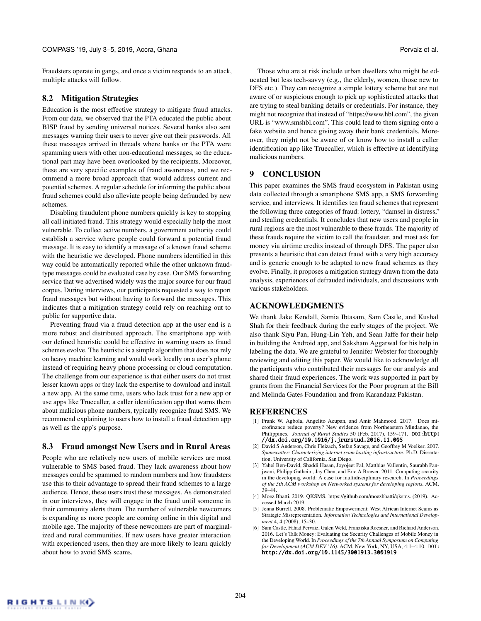Fraudsters operate in gangs, and once a victim responds to an attack, multiple attacks will follow.

## 8.2 Mitigation Strategies

Education is the most effective strategy to mitigate fraud attacks. From our data, we observed that the PTA educated the public about BISP fraud by sending universal notices. Several banks also sent messages warning their users to never give out their passwords. All these messages arrived in threads where banks or the PTA were spamming users with other non-educational messages, so the educational part may have been overlooked by the recipients. Moreover, these are very specific examples of fraud awareness, and we recommend a more broad approach that would address current and potential schemes. A regular schedule for informing the public about fraud schemes could also alleviate people being defrauded by new schemes.

Disabling fraudulent phone numbers quickly is key to stopping all call initiated fraud. This strategy would especially help the most vulnerable. To collect active numbers, a government authority could establish a service where people could forward a potential fraud message. It is easy to identify a message of a known fraud scheme with the heuristic we developed. Phone numbers identified in this way could be automatically reported while the other unknown fraudtype messages could be evaluated case by case. Our SMS forwarding service that we advertised widely was the major source for our fraud corpus. During interviews, our participants requested a way to report fraud messages but without having to forward the messages. This indicates that a mitigation strategy could rely on reaching out to public for supportive data.

Preventing fraud via a fraud detection app at the user end is a more robust and distributed approach. The smartphone app with our defined heuristic could be effective in warning users as fraud schemes evolve. The heuristic is a simple algorithm that does not rely on heavy machine learning and would work locally on a user's phone instead of requiring heavy phone processing or cloud computation. The challenge from our experience is that either users do not trust lesser known apps or they lack the expertise to download and install a new app. At the same time, users who lack trust for a new app or use apps like Truecaller, a caller identification app that warns them about malicious phone numbers, typically recognize fraud SMS. We recommend explaining to users how to install a fraud detection app as well as the app's purpose.

## 8.3 Fraud amongst New Users and in Rural Areas

People who are relatively new users of mobile services are most vulnerable to SMS based fraud. They lack awareness about how messages could be spammed to random numbers and how fraudsters use this to their advantage to spread their fraud schemes to a large audience. Hence, these users trust these messages. As demonstrated in our interviews, they will engage in the fraud until someone in their community alerts them. The number of vulnerable newcomers is expanding as more people are coming online in this digital and mobile age. The majority of these newcomers are part of marginalized and rural communities. If new users have greater interaction with experienced users, then they are more likely to learn quickly about how to avoid SMS scams.

Those who are at risk include urban dwellers who might be educated but less tech-savvy (e.g., the elderly, women, those new to DFS etc.). They can recognize a simple lottery scheme but are not aware of or suspicious enough to pick up sophisticated attacks that are trying to steal banking details or credentials. For instance, they might not recognize that instead of "https://www.hbl.com", the given URL is "www.smshbl.com". This could lead to them signing onto a fake website and hence giving away their bank credentials. Moreover, they might not be aware of or know how to install a caller identification app like Truecaller, which is effective at identifying malicious numbers.

## 9 CONCLUSION

This paper examines the SMS fraud ecosystem in Pakistan using data collected through a smartphone SMS app, a SMS forwarding service, and interviews. It identifies ten fraud schemes that represent the following three categories of fraud: lottery, "damsel in distress," and stealing credentials. It concludes that new users and people in rural regions are the most vulnerable to these frauds. The majority of these frauds require the victim to call the fraudster, and most ask for money via airtime credits instead of through DFS. The paper also presents a heuristic that can detect fraud with a very high accuracy and is generic enough to be adapted to new fraud schemes as they evolve. Finally, it proposes a mitigation strategy drawn from the data analysis, experiences of defrauded individuals, and discussions with various stakeholders.

## ACKNOWLEDGMENTS

We thank Jake Kendall, Samia Ibtasam, Sam Castle, and Kushal Shah for their feedback during the early stages of the project. We also thank Siyu Pan, Hung-Lin Yeh, and Sean Jaffe for their help in building the Android app, and Saksham Aggarwal for his help in labeling the data. We are grateful to Jennifer Webster for thoroughly reviewing and editing this paper. We would like to acknowledge all the participants who contributed their messages for our analysis and shared their fraud experiences. The work was supported in part by grants from the Financial Services for the Poor program at the Bill and Melinda Gates Foundation and from Karandaaz Pakistan.

## REFERENCES

- <span id="page-9-0"></span>[1] Frank W. Agbola, Angelito Acupan, and Amir Mahmood. 2017. Does microfinance reduce poverty? New evidence from Northeastern Mindanao, the Philippines. *Journal of Rural Studies* 50 (Feb. 2017), 159-171. DOI:[http:](http://dx.doi.org/10.1016/j.jrurstud.2016.11.005) [//dx.doi.org/10.1016/j.jrurstud.2016.11.005](http://dx.doi.org/10.1016/j.jrurstud.2016.11.005)
- <span id="page-9-1"></span>[2] David S Anderson, Chris Fleizach, Stefan Savage, and Geoffrey M Voelker. 2007. *Spamscatter: Characterizing internet scam hosting infrastructure*. Ph.D. Dissertation. University of California, San Diego.
- <span id="page-9-4"></span>[3] Yahel Ben-David, Shaddi Hasan, Joyojeet Pal, Matthias Vallentin, Saurabh Panjwani, Philipp Gutheim, Jay Chen, and Eric A Brewer. 2011. Computing security in the developing world: A case for multidisciplinary research. In *Proceedings of the 5th ACM workshop on Networked systems for developing regions*. ACM, 39–44.
- <span id="page-9-5"></span>[4] Moez Bhatti. 2019. QKSMS. https://github.com/moezbhatti/qksms. (2019). Accessed March 2019.
- <span id="page-9-2"></span>[5] Jenna Burrell. 2008. Problematic Empowerment: West African Internet Scams as Strategic Misrepresentation. *Information Technologies and International Development* 4, 4 (2008), 15–30.
- <span id="page-9-3"></span>[6] Sam Castle, Fahad Pervaiz, Galen Weld, Franziska Roesner, and Richard Anderson. 2016. Let's Talk Money: Evaluating the Security Challenges of Mobile Money in the Developing World. In *Proceedings of the 7th Annual Symposium on Computing for Development (ACM DEV '16)*. ACM, New York, NY, USA, 4:1–4:10. DOI: <http://dx.doi.org/10.1145/3001913.3001919>